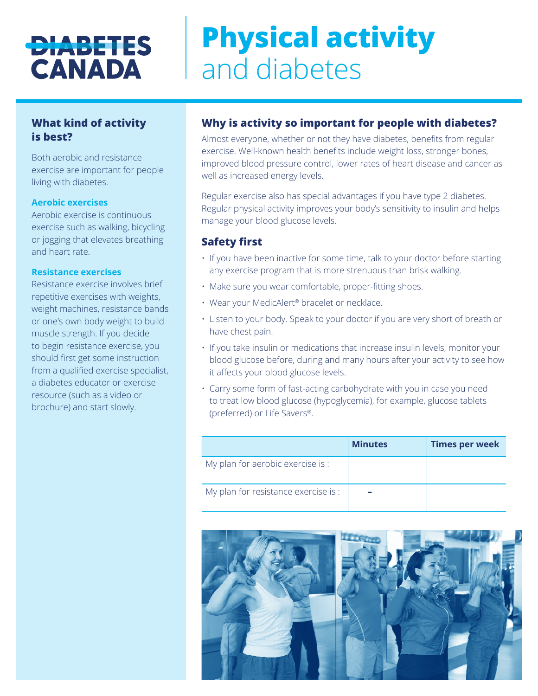# **DIABETES CANADA**

# **Physical activity**  and diabetes

# **What kind of activity is best?**

Both aerobic and resistance exercise are important for people living with diabetes.

#### **Aerobic exercises**

Aerobic exercise is continuous exercise such as walking, bicycling or jogging that elevates breathing and heart rate.

#### **Resistance exercises**

Resistance exercise involves brief repetitive exercises with weights, weight machines, resistance bands or one's own body weight to build muscle strength. If you decide to begin resistance exercise, you should first get some instruction from a qualified exercise specialist, a diabetes educator or exercise resource (such as a video or brochure) and start slowly.

# **Why is activity so important for people with diabetes?**

Almost everyone, whether or not they have diabetes, benefits from regular exercise. Well-known health benefits include weight loss, stronger bones, improved blood pressure control, lower rates of heart disease and cancer as well as increased energy levels.

Regular exercise also has special advantages if you have type 2 diabetes. Regular physical activity improves your body's sensitivity to insulin and helps manage your blood glucose levels.

## **Safety first**

- If you have been inactive for some time, talk to your doctor before starting any exercise program that is more strenuous than brisk walking.
- Make sure you wear comfortable, proper-fitting shoes.
- Wear your MedicAlert® bracelet or necklace.
- Listen to your body. Speak to your doctor if you are very short of breath or have chest pain.
- If you take insulin or medications that increase insulin levels, monitor your blood glucose before, during and many hours after your activity to see how it affects your blood glucose levels.
- Carry some form of fast-acting carbohydrate with you in case you need to treat low blood glucose (hypoglycemia), for example, glucose tablets (preferred) or Life Savers®.

|                                      | <b>Minutes</b> | <b>Times per week</b> |
|--------------------------------------|----------------|-----------------------|
| My plan for aerobic exercise is :    |                |                       |
| My plan for resistance exercise is : |                |                       |